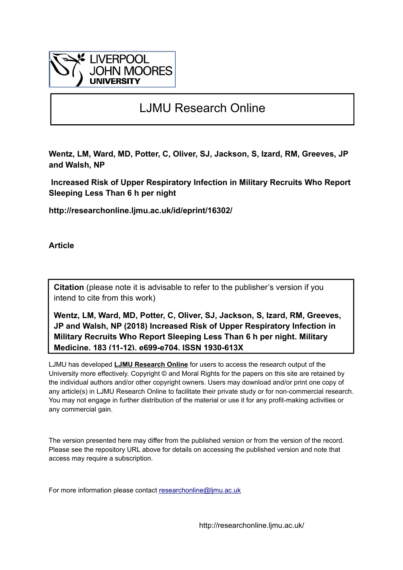

## LJMU Research Online

**Wentz, LM, Ward, MD, Potter, C, Oliver, SJ, Jackson, S, Izard, RM, Greeves, JP and Walsh, NP**

 **Increased Risk of Upper Respiratory Infection in Military Recruits Who Report Sleeping Less Than 6 h per night**

**http://researchonline.ljmu.ac.uk/id/eprint/16302/**

**Article**

**Citation** (please note it is advisable to refer to the publisher's version if you intend to cite from this work)

**Wentz, LM, Ward, MD, Potter, C, Oliver, SJ, Jackson, S, Izard, RM, Greeves, JP and Walsh, NP (2018) Increased Risk of Upper Respiratory Infection in Military Recruits Who Report Sleeping Less Than 6 h per night. Military Medicine, 183 (11-12). e699-e704. ISSN 1930-613X** 

LJMU has developed **[LJMU Research Online](http://researchonline.ljmu.ac.uk/)** for users to access the research output of the University more effectively. Copyright © and Moral Rights for the papers on this site are retained by the individual authors and/or other copyright owners. Users may download and/or print one copy of any article(s) in LJMU Research Online to facilitate their private study or for non-commercial research. You may not engage in further distribution of the material or use it for any profit-making activities or any commercial gain.

The version presented here may differ from the published version or from the version of the record. Please see the repository URL above for details on accessing the published version and note that access may require a subscription.

For more information please contact researchonline@limu.ac.uk

http://researchonline.ljmu.ac.uk/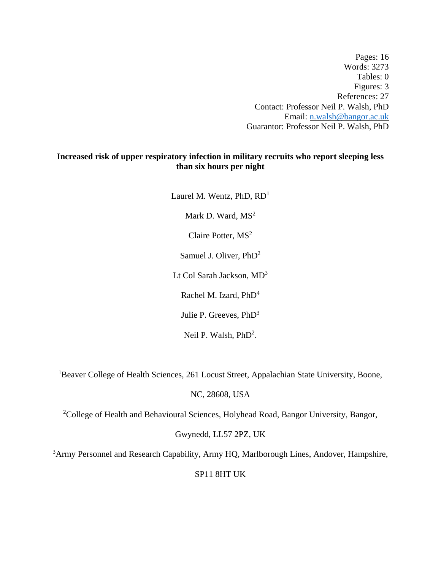Pages: 16 Words: 3273 Tables: 0 Figures: 3 References: 27 Contact: Professor Neil P. Walsh, PhD Email: [n.walsh@bangor.ac.uk](mailto:n.walsh@bangor.ac.uk) Guarantor: Professor Neil P. Walsh, PhD

## **Increased risk of upper respiratory infection in military recruits who report sleeping less than six hours per night**

Laurel M. Wentz, PhD, RD<sup>1</sup> Mark D. Ward,  $MS<sup>2</sup>$ Claire Potter, MS<sup>2</sup> Samuel J. Oliver, PhD<sup>2</sup> Lt Col Sarah Jackson, MD<sup>3</sup> Rachel M. Izard, PhD<sup>4</sup> Julie P. Greeves, PhD<sup>3</sup> Neil P. Walsh, PhD<sup>2</sup>.

<sup>1</sup>Beaver College of Health Sciences, 261 Locust Street, Appalachian State University, Boone,

NC, 28608, USA

<sup>2</sup>College of Health and Behavioural Sciences, Holyhead Road, Bangor University, Bangor,

Gwynedd, LL57 2PZ, UK

<sup>3</sup>Army Personnel and Research Capability, Army HQ, Marlborough Lines, Andover, Hampshire,

SP11 8HT UK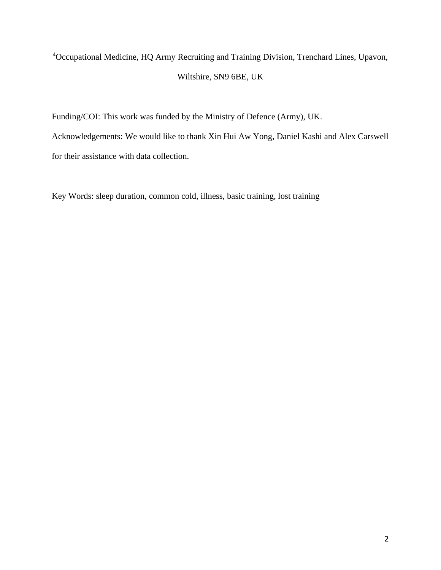# <sup>4</sup>Occupational Medicine, HQ Army Recruiting and Training Division, Trenchard Lines, Upavon, Wiltshire, SN9 6BE, UK

Funding/COI: This work was funded by the Ministry of Defence (Army), UK.

Acknowledgements: We would like to thank Xin Hui Aw Yong, Daniel Kashi and Alex Carswell for their assistance with data collection.

Key Words: sleep duration, common cold, illness, basic training, lost training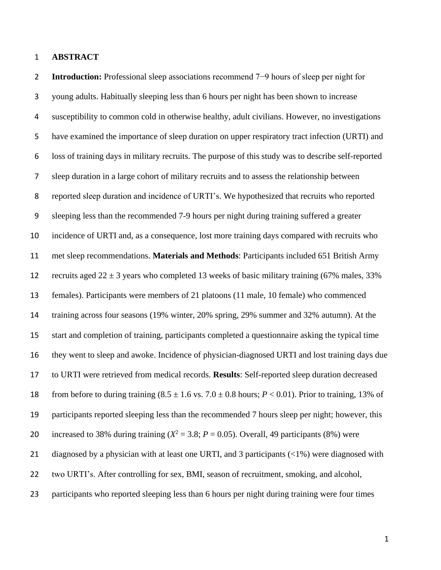#### **ABSTRACT**

 **Introduction:** Professional sleep associations recommend 7−9 hours of sleep per night for young adults. Habitually sleeping less than 6 hours per night has been shown to increase susceptibility to common cold in otherwise healthy, adult civilians. However, no investigations have examined the importance of sleep duration on upper respiratory tract infection (URTI) and loss of training days in military recruits. The purpose of this study was to describe self-reported sleep duration in a large cohort of military recruits and to assess the relationship between reported sleep duration and incidence of URTI's. We hypothesized that recruits who reported sleeping less than the recommended 7-9 hours per night during training suffered a greater incidence of URTI and, as a consequence, lost more training days compared with recruits who met sleep recommendations. **Materials and Methods**: Participants included 651 British Army 12 recruits aged  $22 \pm 3$  years who completed 13 weeks of basic military training (67% males, 33%) females). Participants were members of 21 platoons (11 male, 10 female) who commenced training across four seasons (19% winter, 20% spring, 29% summer and 32% autumn). At the start and completion of training, participants completed a questionnaire asking the typical time they went to sleep and awoke. Incidence of physician-diagnosed URTI and lost training days due to URTI were retrieved from medical records. **Results**: Self-reported sleep duration decreased 18 from before to during training  $(8.5 \pm 1.6 \text{ vs. } 7.0 \pm 0.8 \text{ hours}; P < 0.01)$ . Prior to training, 13% of participants reported sleeping less than the recommended 7 hours sleep per night; however, this 20 increased to 38% during training  $(X^2 = 3.8; P = 0.05)$ . Overall, 49 participants (8%) were 21 diagnosed by a physician with at least one URTI, and 3 participants (<1%) were diagnosed with two URTI's. After controlling for sex, BMI, season of recruitment, smoking, and alcohol, 23 participants who reported sleeping less than 6 hours per night during training were four times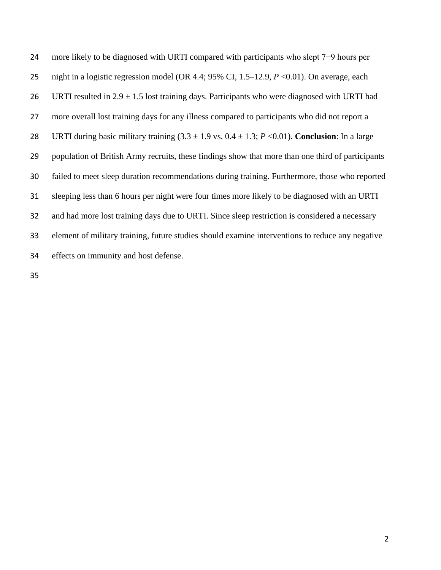more likely to be diagnosed with URTI compared with participants who slept 7−9 hours per 25 night in a logistic regression model (OR 4.4; 95% CI, 1.5–12.9, *P* <0.01). On average, each 26 URTI resulted in  $2.9 \pm 1.5$  lost training days. Participants who were diagnosed with URTI had more overall lost training days for any illness compared to participants who did not report a 28 URTI during basic military training  $(3.3 \pm 1.9 \text{ vs. } 0.4 \pm 1.3; P \lt 0.01)$ . **Conclusion**: In a large population of British Army recruits, these findings show that more than one third of participants failed to meet sleep duration recommendations during training. Furthermore, those who reported sleeping less than 6 hours per night were four times more likely to be diagnosed with an URTI and had more lost training days due to URTI. Since sleep restriction is considered a necessary element of military training, future studies should examine interventions to reduce any negative effects on immunity and host defense.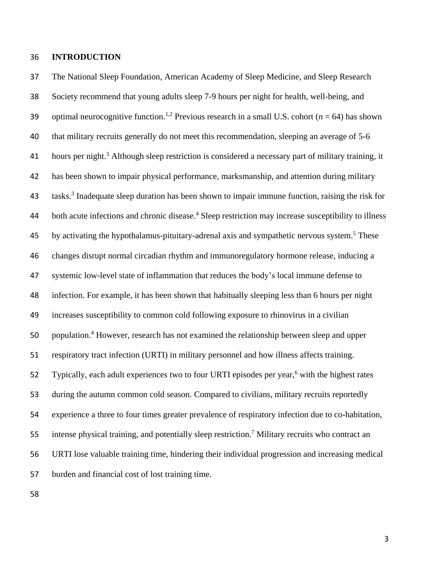## **INTRODUCTION**

 The National Sleep Foundation, American Academy of Sleep Medicine, and Sleep Research Society recommend that young adults sleep 7-9 hours per night for health, well-being, and 39 optimal neurocognitive function.<sup>1,2</sup> Previous research in a small U.S. cohort ( $n = 64$ ) has shown that military recruits generally do not meet this recommendation, sleeping an average of 5-6 41 hours per night.<sup>3</sup> Although sleep restriction is considered a necessary part of military training, it has been shown to impair physical performance, marksmanship, and attention during military tasks.<sup>3</sup> Inadequate sleep duration has been shown to impair immune function, raising the risk for 44 both acute infections and chronic disease.<sup>4</sup> Sleep restriction may increase susceptibility to illness 45 by activating the hypothalamus-pituitary-adrenal axis and sympathetic nervous system.<sup>5</sup> These changes disrupt normal circadian rhythm and immunoregulatory hormone release, inducing a systemic low-level state of inflammation that reduces the body's local immune defense to infection. For example, it has been shown that habitually sleeping less than 6 hours per night increases susceptibility to common cold following exposure to rhinovirus in a civilian 50 population.<sup>4</sup> However, research has not examined the relationship between sleep and upper respiratory tract infection (URTI) in military personnel and how illness affects training. 52 Typically, each adult experiences two to four URTI episodes per year,<sup>6</sup> with the highest rates during the autumn common cold season. Compared to civilians, military recruits reportedly experience a three to four times greater prevalence of respiratory infection due to co-habitation, 55 intense physical training, and potentially sleep restriction.<sup>7</sup> Military recruits who contract an URTI lose valuable training time, hindering their individual progression and increasing medical burden and financial cost of lost training time.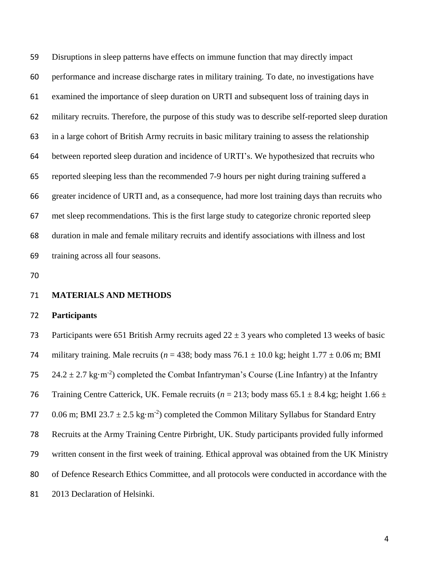Disruptions in sleep patterns have effects on immune function that may directly impact performance and increase discharge rates in military training. To date, no investigations have examined the importance of sleep duration on URTI and subsequent loss of training days in military recruits. Therefore, the purpose of this study was to describe self-reported sleep duration in a large cohort of British Army recruits in basic military training to assess the relationship between reported sleep duration and incidence of URTI's. We hypothesized that recruits who reported sleeping less than the recommended 7-9 hours per night during training suffered a greater incidence of URTI and, as a consequence, had more lost training days than recruits who met sleep recommendations. This is the first large study to categorize chronic reported sleep duration in male and female military recruits and identify associations with illness and lost training across all four seasons.

#### **MATERIALS AND METHODS**

#### **Participants**

73 Participants were 651 British Army recruits aged  $22 \pm 3$  years who completed 13 weeks of basic 74 military training. Male recruits ( $n = 438$ ; body mass  $76.1 \pm 10.0$  kg; height  $1.77 \pm 0.06$  m; BMI 24.2  $\pm$  2.7 kg·m<sup>-2</sup>) completed the Combat Infantryman's Course (Line Infantry) at the Infantry 76 Training Centre Catterick, UK. Female recruits ( $n = 213$ ; body mass 65.1  $\pm$  8.4 kg; height 1.66  $\pm$ 77 0.06 m; BMI 23.7  $\pm$  2.5 kg·m<sup>-2</sup>) completed the Common Military Syllabus for Standard Entry Recruits at the Army Training Centre Pirbright, UK. Study participants provided fully informed written consent in the first week of training. Ethical approval was obtained from the UK Ministry of Defence Research Ethics Committee, and all protocols were conducted in accordance with the 2013 Declaration of Helsinki.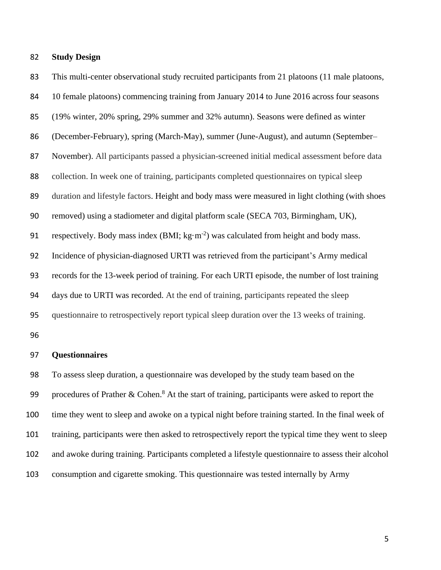#### **Study Design**

83 This multi-center observational study recruited participants from 21 platoons (11 male platoons, 10 female platoons) commencing training from January 2014 to June 2016 across four seasons (19% winter, 20% spring, 29% summer and 32% autumn). Seasons were defined as winter (December-February), spring (March-May), summer (June-August), and autumn (September– November). All participants passed a physician-screened initial medical assessment before data collection. In week one of training, participants completed questionnaires on typical sleep duration and lifestyle factors. Height and body mass were measured in light clothing (with shoes removed) using a stadiometer and digital platform scale (SECA 703, Birmingham, UK), 91 respectively. Body mass index  $(BMI; kg·m<sup>-2</sup>)$  was calculated from height and body mass. Incidence of physician-diagnosed URTI was retrieved from the participant's Army medical records for the 13-week period of training. For each URTI episode, the number of lost training days due to URTI was recorded. At the end of training, participants repeated the sleep questionnaire to retrospectively report typical sleep duration over the 13 weeks of training.

#### **Questionnaires**

 To assess sleep duration, a questionnaire was developed by the study team based on the 99 procedures of Prather & Cohen.<sup>8</sup> At the start of training, participants were asked to report the time they went to sleep and awoke on a typical night before training started. In the final week of training, participants were then asked to retrospectively report the typical time they went to sleep and awoke during training. Participants completed a lifestyle questionnaire to assess their alcohol consumption and cigarette smoking. This questionnaire was tested internally by Army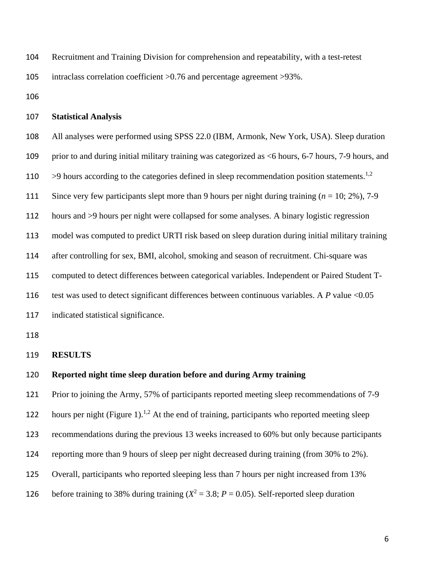- Recruitment and Training Division for comprehension and repeatability, with a test-retest intraclass correlation coefficient >0.76 and percentage agreement >93%.
- 

#### **Statistical Analysis**

All analyses were performed using SPSS 22.0 (IBM, Armonk, New York, USA). Sleep duration

prior to and during initial military training was categorized as <6 hours, 6-7 hours, 7-9 hours, and

110  $\rightarrow$  9 hours according to the categories defined in sleep recommendation position statements.<sup>1,2</sup>

- Since very few participants slept more than 9 hours per night during training (*n* = 10; 2%), 7-9
- hours and >9 hours per night were collapsed for some analyses. A binary logistic regression

model was computed to predict URTI risk based on sleep duration during initial military training

after controlling for sex, BMI, alcohol, smoking and season of recruitment. Chi-square was

computed to detect differences between categorical variables. Independent or Paired Student T-

116 test was used to detect significant differences between continuous variables. A *P* value <0.05

indicated statistical significance.

#### **RESULTS**

#### **Reported night time sleep duration before and during Army training**

 Prior to joining the Army, 57% of participants reported meeting sleep recommendations of 7-9 122 hours per night (Figure 1).<sup>1,2</sup> At the end of training, participants who reported meeting sleep recommendations during the previous 13 weeks increased to 60% but only because participants reporting more than 9 hours of sleep per night decreased during training (from 30% to 2%). Overall, participants who reported sleeping less than 7 hours per night increased from 13% 126 before training to 38% during training  $(X^2 = 3.8; P = 0.05)$ . Self-reported sleep duration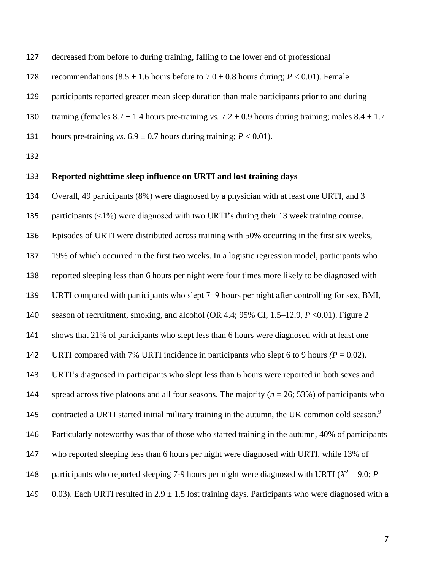| 127 | decreased from before to during training, failing to the lower end of professional              |
|-----|-------------------------------------------------------------------------------------------------|
| 128 | recommendations $(8.5 \pm 1.6$ hours before to $7.0 \pm 0.8$ hours during; $P < 0.01$ ). Female |
| 129 | participants reported greater mean sleep duration than male participants prior to and during    |

127 decreased from being training training training training training training training training training training training training training training training training training training training training training trainin

130 training (females  $8.7 \pm 1.4$  hours pre-training *vs.*  $7.2 \pm 0.9$  hours during training; males  $8.4 \pm 1.7$ 

131 hours pre-training *vs.*  $6.9 \pm 0.7$  hours during training;  $P < 0.01$ ).

#### **Reported nighttime sleep influence on URTI and lost training days**

 Overall, 49 participants (8%) were diagnosed by a physician with at least one URTI, and 3 135 participants (<1%) were diagnosed with two URTI's during their 13 week training course. Episodes of URTI were distributed across training with 50% occurring in the first six weeks, 19% of which occurred in the first two weeks. In a logistic regression model, participants who reported sleeping less than 6 hours per night were four times more likely to be diagnosed with URTI compared with participants who slept 7−9 hours per night after controlling for sex, BMI, season of recruitment, smoking, and alcohol (OR 4.4; 95% CI, 1.5–12.9, *P* <0.01). Figure 2 shows that 21% of participants who slept less than 6 hours were diagnosed with at least one 142 URTI compared with 7% URTI incidence in participants who slept 6 to 9 hours  $(P = 0.02)$ . URTI's diagnosed in participants who slept less than 6 hours were reported in both sexes and spread across five platoons and all four seasons. The majority (*n* = 26; 53%) of participants who 145 contracted a URTI started initial military training in the autumn, the UK common cold season.<sup>9</sup> Particularly noteworthy was that of those who started training in the autumn, 40% of participants who reported sleeping less than 6 hours per night were diagnosed with URTI, while 13% of 148 participants who reported sleeping 7-9 hours per night were diagnosed with URTI ( $X^2 = 9.0$ ; *P* = 149 0.03). Each URTI resulted in  $2.9 \pm 1.5$  lost training days. Participants who were diagnosed with a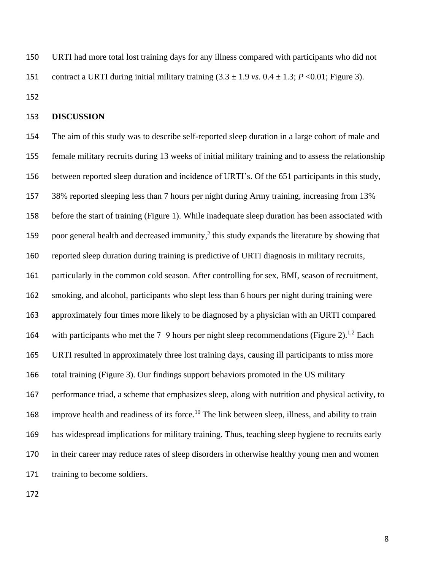URTI had more total lost training days for any illness compared with participants who did not 151 contract a URTI during initial military training  $(3.3 \pm 1.9 \text{ vs. } 0.4 \pm 1.3; P \lt 0.01;$  Figure 3).

#### **DISCUSSION**

 The aim of this study was to describe self-reported sleep duration in a large cohort of male and female military recruits during 13 weeks of initial military training and to assess the relationship between reported sleep duration and incidence of URTI's. Of the 651 participants in this study, 38% reported sleeping less than 7 hours per night during Army training, increasing from 13% before the start of training (Figure 1). While inadequate sleep duration has been associated with 159 poor general health and decreased immunity,<sup>2</sup> this study expands the literature by showing that reported sleep duration during training is predictive of URTI diagnosis in military recruits, particularly in the common cold season. After controlling for sex, BMI, season of recruitment, smoking, and alcohol, participants who slept less than 6 hours per night during training were approximately four times more likely to be diagnosed by a physician with an URTI compared 164 with participants who met the 7–9 hours per night sleep recommendations (Figure 2).<sup>1,2</sup> Each URTI resulted in approximately three lost training days, causing ill participants to miss more total training (Figure 3). Our findings support behaviors promoted in the US military performance triad, a scheme that emphasizes sleep, along with nutrition and physical activity, to 168 improve health and readiness of its force.<sup>10</sup> The link between sleep, illness, and ability to train has widespread implications for military training. Thus, teaching sleep hygiene to recruits early in their career may reduce rates of sleep disorders in otherwise healthy young men and women 171 training to become soldiers.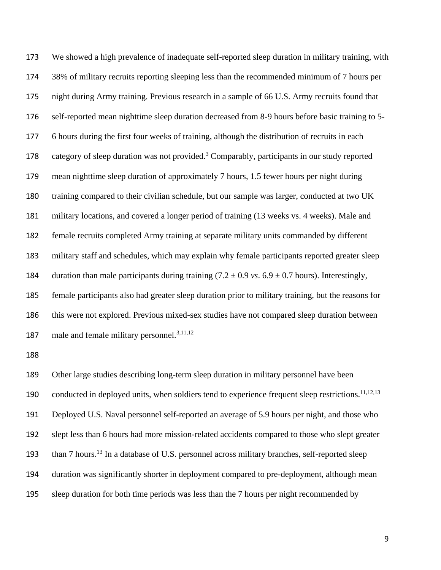We showed a high prevalence of inadequate self-reported sleep duration in military training, with 38% of military recruits reporting sleeping less than the recommended minimum of 7 hours per night during Army training. Previous research in a sample of 66 U.S. Army recruits found that self-reported mean nighttime sleep duration decreased from 8-9 hours before basic training to 5- 6 hours during the first four weeks of training, although the distribution of recruits in each 178 category of sleep duration was not provided.<sup>3</sup> Comparably, participants in our study reported mean nighttime sleep duration of approximately 7 hours, 1.5 fewer hours per night during training compared to their civilian schedule, but our sample was larger, conducted at two UK military locations, and covered a longer period of training (13 weeks vs. 4 weeks). Male and female recruits completed Army training at separate military units commanded by different military staff and schedules, which may explain why female participants reported greater sleep 184 duration than male participants during training  $(7.2 \pm 0.9 \text{ vs. } 6.9 \pm 0.7 \text{ hours})$ . Interestingly, female participants also had greater sleep duration prior to military training, but the reasons for this were not explored. Previous mixed-sex studies have not compared sleep duration between 187 male and female military personnel.<sup>3,11,12</sup>

 Other large studies describing long-term sleep duration in military personnel have been 190 conducted in deployed units, when soldiers tend to experience frequent sleep restrictions.<sup>11,12,13</sup> Deployed U.S. Naval personnel self-reported an average of 5.9 hours per night, and those who slept less than 6 hours had more mission-related accidents compared to those who slept greater 193 than 7 hours.<sup>13</sup> In a database of U.S. personnel across military branches, self-reported sleep duration was significantly shorter in deployment compared to pre-deployment, although mean sleep duration for both time periods was less than the 7 hours per night recommended by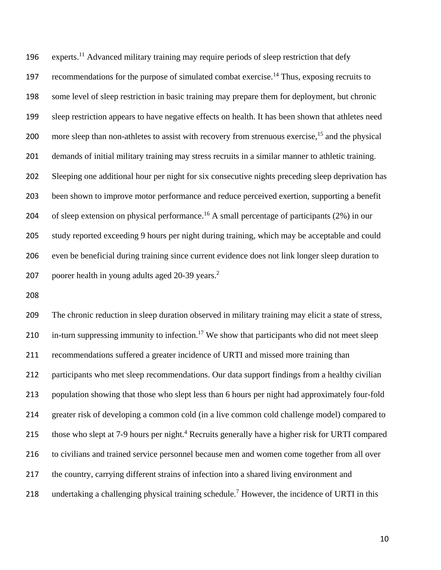196 experts.<sup>11</sup> Advanced military training may require periods of sleep restriction that defy 197 recommendations for the purpose of simulated combat exercise.<sup>14</sup> Thus, exposing recruits to some level of sleep restriction in basic training may prepare them for deployment, but chronic sleep restriction appears to have negative effects on health. It has been shown that athletes need 200 more sleep than non-athletes to assist with recovery from strenuous exercise,  $1<sup>5</sup>$  and the physical demands of initial military training may stress recruits in a similar manner to athletic training. Sleeping one additional hour per night for six consecutive nights preceding sleep deprivation has been shown to improve motor performance and reduce perceived exertion, supporting a benefit 204 of sleep extension on physical performance.<sup>16</sup> A small percentage of participants  $(2%)$  in our study reported exceeding 9 hours per night during training, which may be acceptable and could even be beneficial during training since current evidence does not link longer sleep duration to 207 poorer health in young adults aged 20-39 years.<sup>2</sup>

 The chronic reduction in sleep duration observed in military training may elicit a state of stress, 210 in-turn suppressing immunity to infection.<sup>17</sup> We show that participants who did not meet sleep recommendations suffered a greater incidence of URTI and missed more training than participants who met sleep recommendations. Our data support findings from a healthy civilian population showing that those who slept less than 6 hours per night had approximately four-fold greater risk of developing a common cold (in a live common cold challenge model) compared to 215 those who slept at 7-9 hours per night.<sup>4</sup> Recruits generally have a higher risk for URTI compared to civilians and trained service personnel because men and women come together from all over the country, carrying different strains of infection into a shared living environment and 218 undertaking a challenging physical training schedule.<sup>7</sup> However, the incidence of URTI in this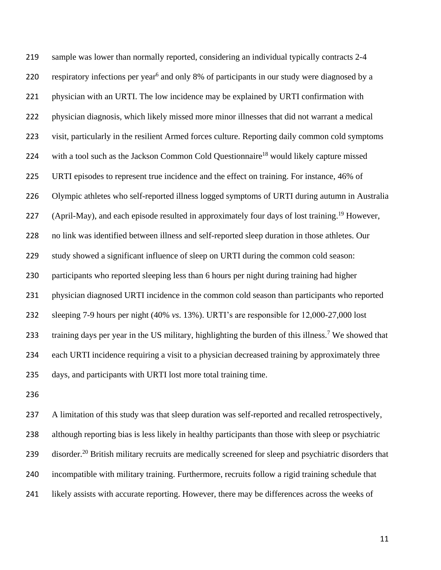sample was lower than normally reported, considering an individual typically contracts 2-4 220 respiratory infections per year<sup>6</sup> and only 8% of participants in our study were diagnosed by a physician with an URTI. The low incidence may be explained by URTI confirmation with physician diagnosis, which likely missed more minor illnesses that did not warrant a medical visit, particularly in the resilient Armed forces culture. Reporting daily common cold symptoms 224 with a tool such as the Jackson Common Cold Questionnaire<sup>18</sup> would likely capture missed URTI episodes to represent true incidence and the effect on training. For instance, 46% of Olympic athletes who self-reported illness logged symptoms of URTI during autumn in Australia 227 (April-May), and each episode resulted in approximately four days of lost training.<sup>19</sup> However, no link was identified between illness and self-reported sleep duration in those athletes. Our study showed a significant influence of sleep on URTI during the common cold season: participants who reported sleeping less than 6 hours per night during training had higher physician diagnosed URTI incidence in the common cold season than participants who reported sleeping 7-9 hours per night (40% *vs*. 13%). URTI's are responsible for 12,000-27,000 lost 233 training days per year in the US military, highlighting the burden of this illness.<sup>7</sup> We showed that each URTI incidence requiring a visit to a physician decreased training by approximately three days, and participants with URTI lost more total training time.

 A limitation of this study was that sleep duration was self-reported and recalled retrospectively, although reporting bias is less likely in healthy participants than those with sleep or psychiatric 239 disorder.<sup>20</sup> British military recruits are medically screened for sleep and psychiatric disorders that incompatible with military training. Furthermore, recruits follow a rigid training schedule that likely assists with accurate reporting. However, there may be differences across the weeks of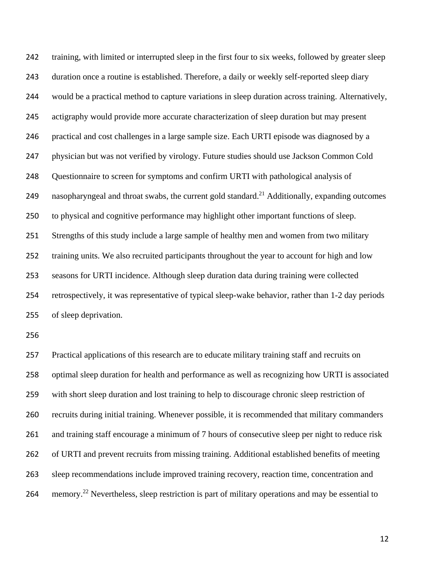training, with limited or interrupted sleep in the first four to six weeks, followed by greater sleep duration once a routine is established. Therefore, a daily or weekly self-reported sleep diary would be a practical method to capture variations in sleep duration across training. Alternatively, actigraphy would provide more accurate characterization of sleep duration but may present practical and cost challenges in a large sample size. Each URTI episode was diagnosed by a physician but was not verified by virology. Future studies should use Jackson Common Cold Questionnaire to screen for symptoms and confirm URTI with pathological analysis of 249 nasopharyngeal and throat swabs, the current gold standard.<sup>21</sup> Additionally, expanding outcomes to physical and cognitive performance may highlight other important functions of sleep. Strengths of this study include a large sample of healthy men and women from two military training units. We also recruited participants throughout the year to account for high and low seasons for URTI incidence. Although sleep duration data during training were collected retrospectively, it was representative of typical sleep-wake behavior, rather than 1-2 day periods of sleep deprivation.

 Practical applications of this research are to educate military training staff and recruits on optimal sleep duration for health and performance as well as recognizing how URTI is associated with short sleep duration and lost training to help to discourage chronic sleep restriction of recruits during initial training. Whenever possible, it is recommended that military commanders and training staff encourage a minimum of 7 hours of consecutive sleep per night to reduce risk of URTI and prevent recruits from missing training. Additional established benefits of meeting sleep recommendations include improved training recovery, reaction time, concentration and 264 memory.<sup>22</sup> Nevertheless, sleep restriction is part of military operations and may be essential to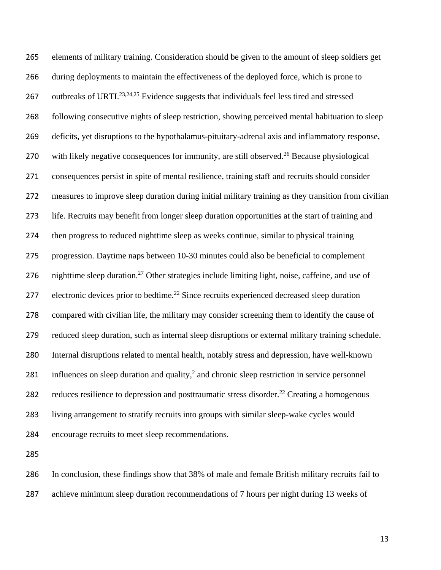elements of military training. Consideration should be given to the amount of sleep soldiers get during deployments to maintain the effectiveness of the deployed force, which is prone to 267 outbreaks of URTI.<sup>23,24,25</sup> Evidence suggests that individuals feel less tired and stressed following consecutive nights of sleep restriction, showing perceived mental habituation to sleep deficits, yet disruptions to the hypothalamus-pituitary-adrenal axis and inflammatory response, 270 with likely negative consequences for immunity, are still observed.<sup>26</sup> Because physiological consequences persist in spite of mental resilience, training staff and recruits should consider measures to improve sleep duration during initial military training as they transition from civilian life. Recruits may benefit from longer sleep duration opportunities at the start of training and then progress to reduced nighttime sleep as weeks continue, similar to physical training progression. Daytime naps between 10-30 minutes could also be beneficial to complement 276 nighttime sleep duration.<sup>27</sup> Other strategies include limiting light, noise, caffeine, and use of 277 electronic devices prior to bedtime.<sup>22</sup> Since recruits experienced decreased sleep duration compared with civilian life, the military may consider screening them to identify the cause of reduced sleep duration, such as internal sleep disruptions or external military training schedule. Internal disruptions related to mental health, notably stress and depression, have well-known 281 influences on sleep duration and quality, $<sup>2</sup>$  and chronic sleep restriction in service personnel</sup> 282 reduces resilience to depression and posttraumatic stress disorder.<sup>22</sup> Creating a homogenous living arrangement to stratify recruits into groups with similar sleep-wake cycles would encourage recruits to meet sleep recommendations.

 In conclusion, these findings show that 38% of male and female British military recruits fail to achieve minimum sleep duration recommendations of 7 hours per night during 13 weeks of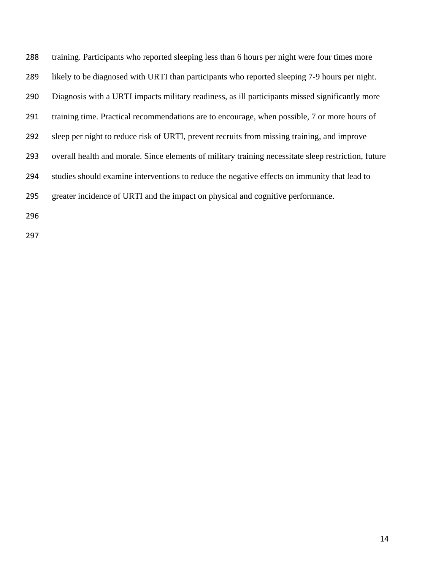training. Participants who reported sleeping less than 6 hours per night were four times more likely to be diagnosed with URTI than participants who reported sleeping 7-9 hours per night. Diagnosis with a URTI impacts military readiness, as ill participants missed significantly more training time. Practical recommendations are to encourage, when possible, 7 or more hours of sleep per night to reduce risk of URTI, prevent recruits from missing training, and improve overall health and morale. Since elements of military training necessitate sleep restriction, future studies should examine interventions to reduce the negative effects on immunity that lead to greater incidence of URTI and the impact on physical and cognitive performance.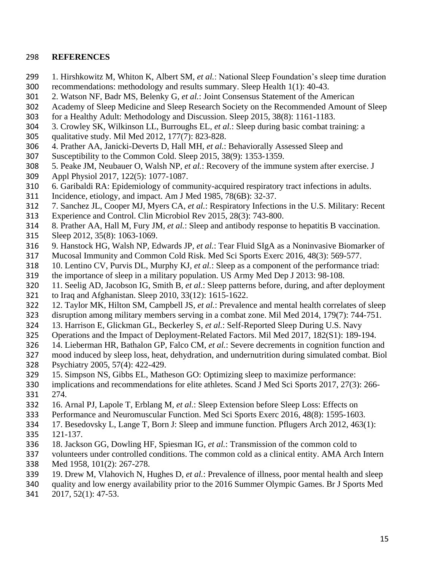## **REFERENCES**

- 1. Hirshkowitz M, Whiton K, Albert SM*, et al.*: National Sleep Foundation's sleep time duration recommendations: methodology and results summary. Sleep Health 1(1): 40-43.
- 2. Watson NF, Badr MS, Belenky G*, et al.*: Joint Consensus Statement of the American
- Academy of Sleep Medicine and Sleep Research Society on the Recommended Amount of Sleep
- for a Healthy Adult: Methodology and Discussion. Sleep 2015, 38(8): 1161-1183.
- 3. Crowley SK, Wilkinson LL, Burroughs EL*, et al.*: Sleep during basic combat training: a qualitative study. Mil Med 2012, 177(7): 823-828.
- 4. Prather AA, Janicki-Deverts D, Hall MH*, et al.*: Behaviorally Assessed Sleep and
- Susceptibility to the Common Cold. Sleep 2015, 38(9): 1353-1359.
- 5. Peake JM, Neubauer O, Walsh NP*, et al.*: Recovery of the immune system after exercise. J
- Appl Physiol 2017, 122(5): 1077-1087.
- 6. Garibaldi RA: Epidemiology of community-acquired respiratory tract infections in adults.
- Incidence, etiology, and impact. Am J Med 1985, 78(6B): 32-37.
- 7. Sanchez JL, Cooper MJ, Myers CA*, et al.*: Respiratory Infections in the U.S. Military: Recent
- Experience and Control. Clin Microbiol Rev 2015, 28(3): 743-800.
- 8. Prather AA, Hall M, Fury JM*, et al.*: Sleep and antibody response to hepatitis B vaccination.
- Sleep 2012, 35(8): 1063-1069.
- 9. Hanstock HG, Walsh NP, Edwards JP*, et al.*: Tear Fluid SIgA as a Noninvasive Biomarker of
- Mucosal Immunity and Common Cold Risk. Med Sci Sports Exerc 2016, 48(3): 569-577.
- 10. Lentino CV, Purvis DL, Murphy KJ*, et al.*: Sleep as a component of the performance triad:
- the importance of sleep in a military population. US Army Med Dep J 2013: 98-108.
- 11. Seelig AD, Jacobson IG, Smith B*, et al.*: Sleep patterns before, during, and after deployment
- to Iraq and Afghanistan. Sleep 2010, 33(12): 1615-1622.
- 12. Taylor MK, Hilton SM, Campbell JS*, et al.*: Prevalence and mental health correlates of sleep
- disruption among military members serving in a combat zone. Mil Med 2014, 179(7): 744-751.
- 13. Harrison E, Glickman GL, Beckerley S*, et al.*: Self-Reported Sleep During U.S. Navy
- Operations and the Impact of Deployment-Related Factors. Mil Med 2017, 182(S1): 189-194.
- 14. Lieberman HR, Bathalon GP, Falco CM*, et al.*: Severe decrements in cognition function and
- mood induced by sleep loss, heat, dehydration, and undernutrition during simulated combat. Biol Psychiatry 2005, 57(4): 422-429.
- 15. Simpson NS, Gibbs EL, Matheson GO: Optimizing sleep to maximize performance:
- implications and recommendations for elite athletes. Scand J Med Sci Sports 2017, 27(3): 266-
- 274.
- 16. Arnal PJ, Lapole T, Erblang M*, et al.*: Sleep Extension before Sleep Loss: Effects on
- Performance and Neuromuscular Function. Med Sci Sports Exerc 2016, 48(8): 1595-1603.
- 17. Besedovsky L, Lange T, Born J: Sleep and immune function. Pflugers Arch 2012, 463(1):
- 121-137.
- 18. Jackson GG, Dowling HF, Spiesman IG*, et al.*: Transmission of the common cold to
- volunteers under controlled conditions. The common cold as a clinical entity. AMA Arch Intern
- Med 1958, 101(2): 267-278.
- 19. Drew M, Vlahovich N, Hughes D*, et al.*: Prevalence of illness, poor mental health and sleep
- quality and low energy availability prior to the 2016 Summer Olympic Games. Br J Sports Med 2017, 52(1): 47-53.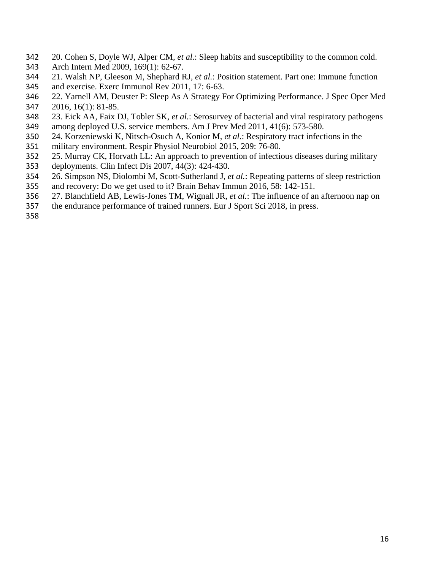- 20. Cohen S, Doyle WJ, Alper CM*, et al.*: Sleep habits and susceptibility to the common cold.
- Arch Intern Med 2009, 169(1): 62-67.
- 21. Walsh NP, Gleeson M, Shephard RJ*, et al.*: Position statement. Part one: Immune function and exercise. Exerc Immunol Rev 2011, 17: 6-63.
- 22. Yarnell AM, Deuster P: Sleep As A Strategy For Optimizing Performance. J Spec Oper Med 2016, 16(1): 81-85.
- 23. Eick AA, Faix DJ, Tobler SK*, et al.*: Serosurvey of bacterial and viral respiratory pathogens among deployed U.S. service members. Am J Prev Med 2011, 41(6): 573-580.
- 24. Korzeniewski K, Nitsch-Osuch A, Konior M*, et al.*: Respiratory tract infections in the
- military environment. Respir Physiol Neurobiol 2015, 209: 76-80.
- 25. Murray CK, Horvath LL: An approach to prevention of infectious diseases during military
- deployments. Clin Infect Dis 2007, 44(3): 424-430.
- 26. Simpson NS, Diolombi M, Scott-Sutherland J*, et al.*: Repeating patterns of sleep restriction
- and recovery: Do we get used to it? Brain Behav Immun 2016, 58: 142-151.
- 27. Blanchfield AB, Lewis-Jones TM, Wignall JR*, et al.*: The influence of an afternoon nap on
- the endurance performance of trained runners. Eur J Sport Sci 2018, in press.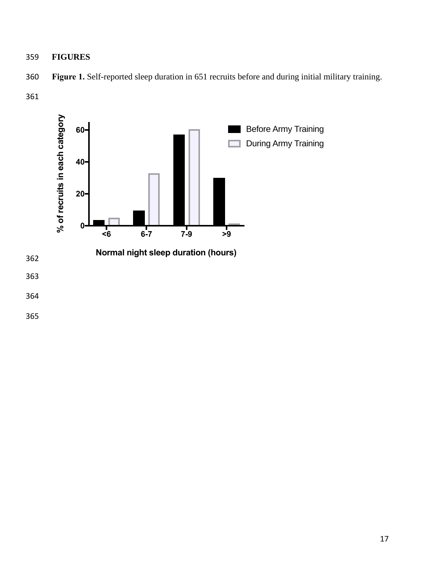**FIGURES**



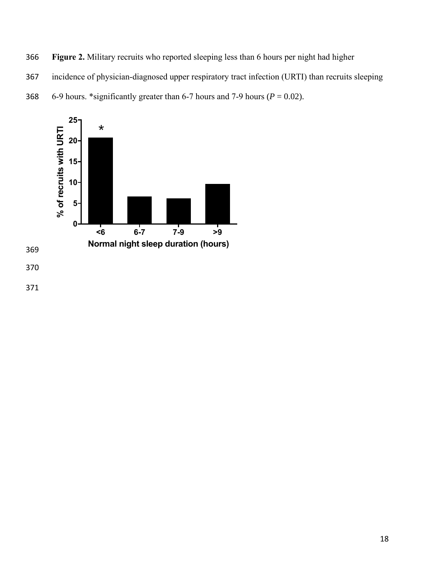**Figure 2.** Military recruits who reported sleeping less than 6 hours per night had higher

incidence of physician-diagnosed upper respiratory tract infection (URTI) than recruits sleeping

368 6-9 hours. \*significantly greater than 6-7 hours and 7-9 hours ( $P = 0.02$ ).